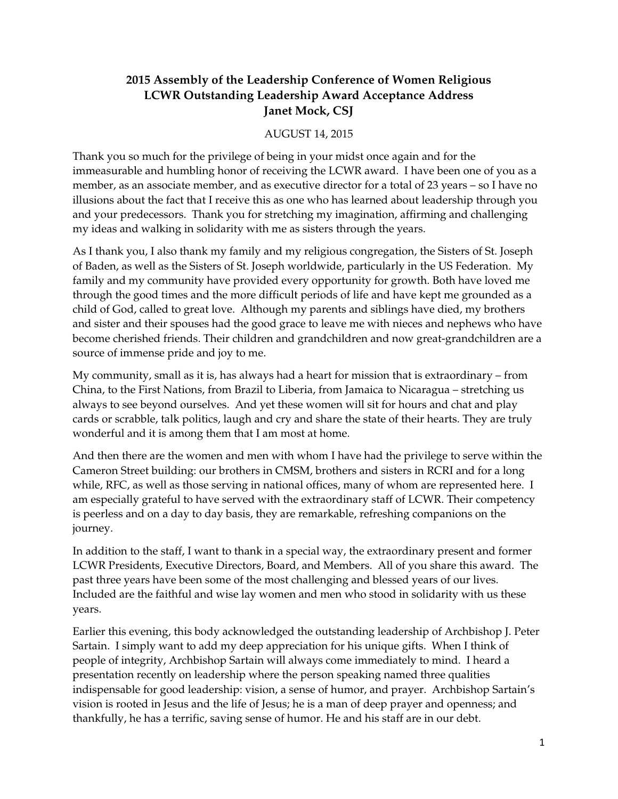## **2015 Assembly of the Leadership Conference of Women Religious LCWR Outstanding Leadership Award Acceptance Address Janet Mock, CSJ**

## AUGUST 14, 2015

Thank you so much for the privilege of being in your midst once again and for the immeasurable and humbling honor of receiving the LCWR award. I have been one of you as a member, as an associate member, and as executive director for a total of 23 years – so I have no illusions about the fact that I receive this as one who has learned about leadership through you and your predecessors. Thank you for stretching my imagination, affirming and challenging my ideas and walking in solidarity with me as sisters through the years.

As I thank you, I also thank my family and my religious congregation, the Sisters of St. Joseph of Baden, as well as the Sisters of St. Joseph worldwide, particularly in the US Federation. My family and my community have provided every opportunity for growth. Both have loved me through the good times and the more difficult periods of life and have kept me grounded as a child of God, called to great love. Although my parents and siblings have died, my brothers and sister and their spouses had the good grace to leave me with nieces and nephews who have become cherished friends. Their children and grandchildren and now great-grandchildren are a source of immense pride and joy to me.

My community, small as it is, has always had a heart for mission that is extraordinary – from China, to the First Nations, from Brazil to Liberia, from Jamaica to Nicaragua – stretching us always to see beyond ourselves. And yet these women will sit for hours and chat and play cards or scrabble, talk politics, laugh and cry and share the state of their hearts. They are truly wonderful and it is among them that I am most at home.

And then there are the women and men with whom I have had the privilege to serve within the Cameron Street building: our brothers in CMSM, brothers and sisters in RCRI and for a long while, RFC, as well as those serving in national offices, many of whom are represented here. I am especially grateful to have served with the extraordinary staff of LCWR. Their competency is peerless and on a day to day basis, they are remarkable, refreshing companions on the journey.

In addition to the staff, I want to thank in a special way, the extraordinary present and former LCWR Presidents, Executive Directors, Board, and Members. All of you share this award. The past three years have been some of the most challenging and blessed years of our lives. Included are the faithful and wise lay women and men who stood in solidarity with us these years.

Earlier this evening, this body acknowledged the outstanding leadership of Archbishop J. Peter Sartain. I simply want to add my deep appreciation for his unique gifts. When I think of people of integrity, Archbishop Sartain will always come immediately to mind. I heard a presentation recently on leadership where the person speaking named three qualities indispensable for good leadership: vision, a sense of humor, and prayer. Archbishop Sartain's vision is rooted in Jesus and the life of Jesus; he is a man of deep prayer and openness; and thankfully, he has a terrific, saving sense of humor. He and his staff are in our debt.